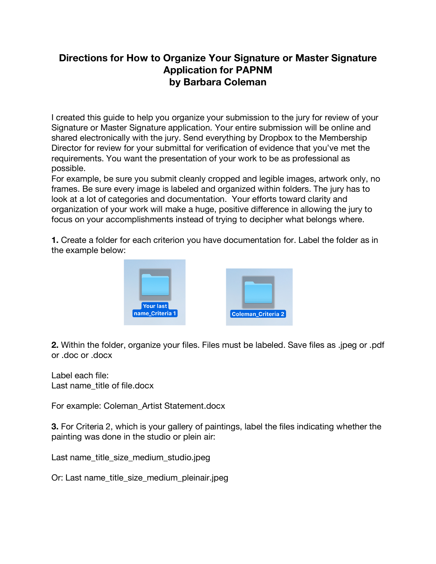## **Directions for How to Organize Your Signature or Master Signature Application for PAPNM by Barbara Coleman**

I created this guide to help you organize your submission to the jury for review of your Signature or Master Signature application. Your entire submission will be online and shared electronically with the jury. Send everything by Dropbox to the Membership Director for review for your submittal for verification of evidence that you've met the requirements. You want the presentation of your work to be as professional as possible.

For example, be sure you submit cleanly cropped and legible images, artwork only, no frames. Be sure every image is labeled and organized within folders. The jury has to look at a lot of categories and documentation. Your efforts toward clarity and organization of your work will make a huge, positive difference in allowing the jury to focus on your accomplishments instead of trying to decipher what belongs where.

**1.** Create a folder for each criterion you have documentation for. Label the folder as in the example below:



**2.** Within the folder, organize your files. Files must be labeled. Save files as .jpeg or .pdf or .doc or .docx

Label each file: Last name\_title of file.docx

For example: Coleman\_Artist Statement.docx

**3.** For Criteria 2, which is your gallery of paintings, label the files indicating whether the painting was done in the studio or plein air:

Last name\_title\_size\_medium\_studio.jpeg

Or: Last name\_title\_size\_medium\_pleinair.jpeg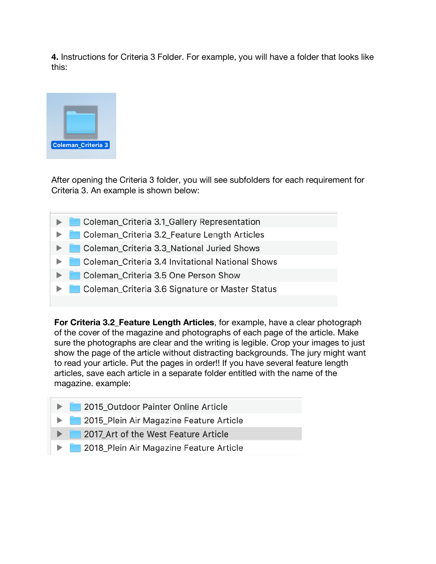4. Instructions for Criteria 3 Folder. For example, you will have a folder that looks like this:



After opening the Criteria 3 folder, you will see subfolders for each requirement for Criteria 3. An example is shown below:

- Coleman\_Criteria 3.1\_Gallery Representation
- Coleman\_Criteria 3.2\_Feature Length Articles
- Coleman\_Criteria 3.3\_National Juried Shows
- Coleman\_Criteria 3.4 Invitational National Shows
- Coleman Criteria 3.5 One Person Show
- Coleman\_Criteria 3.6 Signature or Master Status

For Criteria 3.2 Feature Length Articles, for example, have a clear photograph of the cover of the magazine and photographs of each page of the article. Make sure the photographs are clear and the writing is legible. Crop your images to just show the page of the article without distracting backgrounds. The jury might want to read your article. Put the pages in order!! If you have several feature length articles, save each article in a separate folder entitled with the name of the magazine. example:

- 2015\_Outdoor Painter Online Article
- 2015\_Plein Air Magazine Feature Article
- 2017 Art of the West Feature Article
- 2018\_Plein Air Magazine Feature Article